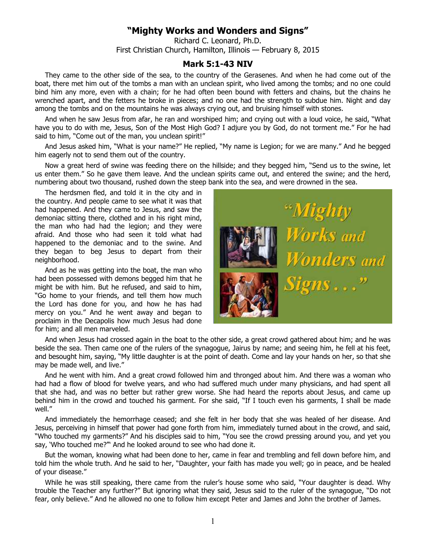## **"Mighty Works and Wonders and Signs"**

Richard C. Leonard, Ph.D. First Christian Church, Hamilton, Illinois — February 8, 2015

## **Mark 5:1-43 NIV**

They came to the other side of the sea, to the country of the Gerasenes. And when he had come out of the boat, there met him out of the tombs a man with an unclean spirit, who lived among the tombs; and no one could bind him any more, even with a chain; for he had often been bound with fetters and chains, but the chains he wrenched apart, and the fetters he broke in pieces; and no one had the strength to subdue him. Night and day among the tombs and on the mountains he was always crying out, and bruising himself with stones.

And when he saw Jesus from afar, he ran and worshiped him; and crying out with a loud voice, he said, "What have you to do with me, Jesus, Son of the Most High God? I adjure you by God, do not torment me." For he had said to him, "Come out of the man, you unclean spirit!"

And Jesus asked him, "What is your name?" He replied, "My name is Legion; for we are many." And he begged him eagerly not to send them out of the country.

Now a great herd of swine was feeding there on the hillside; and they begged him, "Send us to the swine, let us enter them." So he gave them leave. And the unclean spirits came out, and entered the swine; and the herd, numbering about two thousand, rushed down the steep bank into the sea, and were drowned in the sea.

The herdsmen fled, and told it in the city and in the country. And people came to see what it was that had happened. And they came to Jesus, and saw the demoniac sitting there, clothed and in his right mind, the man who had had the legion; and they were afraid. And those who had seen it told what had happened to the demoniac and to the swine. And they began to beg Jesus to depart from their neighborhood.

And as he was getting into the boat, the man who had been possessed with demons begged him that he might be with him. But he refused, and said to him, "Go home to your friends, and tell them how much the Lord has done for you, and how he has had mercy on you." And he went away and began to proclaim in the Decapolis how much Jesus had done for him; and all men marveled.



And when Jesus had crossed again in the boat to the other side, a great crowd gathered about him; and he was beside the sea. Then came one of the rulers of the synagogue, Jairus by name; and seeing him, he fell at his feet, and besought him, saying, "My little daughter is at the point of death. Come and lay your hands on her, so that she may be made well, and live."

And he went with him. And a great crowd followed him and thronged about him. And there was a woman who had had a flow of blood for twelve years, and who had suffered much under many physicians, and had spent all that she had, and was no better but rather grew worse. She had heard the reports about Jesus, and came up behind him in the crowd and touched his garment. For she said, "If I touch even his garments, I shall be made well."

And immediately the hemorrhage ceased; and she felt in her body that she was healed of her disease. And Jesus, perceiving in himself that power had gone forth from him, immediately turned about in the crowd, and said, "Who touched my garments?" And his disciples said to him, "You see the crowd pressing around you, and yet you say, 'Who touched me?" And he looked around to see who had done it.

But the woman, knowing what had been done to her, came in fear and trembling and fell down before him, and told him the whole truth. And he said to her, "Daughter, your faith has made you well; go in peace, and be healed of your disease."

While he was still speaking, there came from the ruler's house some who said, "Your daughter is dead. Why trouble the Teacher any further?" But ignoring what they said, Jesus said to the ruler of the synagogue, "Do not fear, only believe." And he allowed no one to follow him except Peter and James and John the brother of James.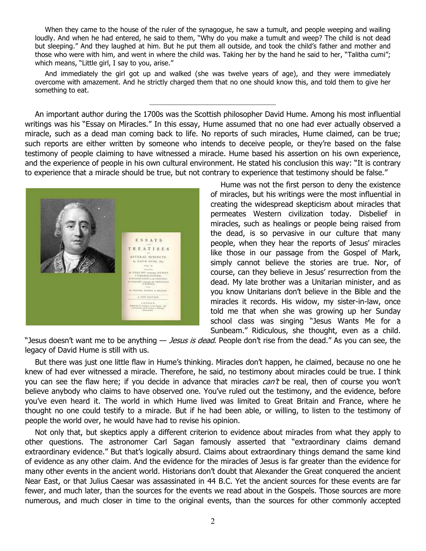When they came to the house of the ruler of the synagogue, he saw a tumult, and people weeping and wailing loudly. And when he had entered, he said to them, "Why do you make a tumult and weep? The child is not dead but sleeping." And they laughed at him. But he put them all outside, and took the child's father and mother and those who were with him, and went in where the child was. Taking her by the hand he said to her, "Talitha cumi"; which means, "Little girl, I say to you, arise."

And immediately the girl got up and walked (she was twelve years of age), and they were immediately overcome with amazement. And he strictly charged them that no one should know this, and told them to give her something to eat.

\_\_\_\_\_\_\_\_\_\_\_\_\_\_\_\_\_\_\_\_\_\_\_\_\_\_\_\_\_\_\_\_\_

An important author during the 1700s was the Scottish philosopher David Hume. Among his most influential writings was his "Essay on Miracles." In this essay, Hume assumed that no one had ever actually observed a miracle, such as a dead man coming back to life. No reports of such miracles, Hume claimed, can be true; such reports are either written by someone who intends to deceive people, or they're based on the false testimony of people claiming to have witnessed a miracle. Hume based his assertion on his own experience, and the experience of people in his own cultural environment. He stated his conclusion this way: "It is contrary to experience that a miracle should be true, but not contrary to experience that testimony should be false."



Hume was not the first person to deny the existence of miracles, but his writings were the most influential in creating the widespread skepticism about miracles that permeates Western civilization today. Disbelief in miracles, such as healings or people being raised from the dead, is so pervasive in our culture that many people, when they hear the reports of Jesus' miracles like those in our passage from the Gospel of Mark, simply cannot believe the stories are true. Nor, of course, can they believe in Jesus' resurrection from the dead. My late brother was a Unitarian minister, and as you know Unitarians don't believe in the Bible and the miracles it records. His widow, my sister-in-law, once told me that when she was growing up her Sunday school class was singing "Jesus Wants Me for a Sunbeam." Ridiculous, she thought, even as a child.

"Jesus doesn't want me to be anything — *Jesus is dead*. People don't rise from the dead." As you can see, the legacy of David Hume is still with us.

But there was just one little flaw in Hume's thinking. Miracles don't happen, he claimed, because no one he knew of had ever witnessed a miracle. Therefore, he said, no testimony about miracles could be true. I think you can see the flaw here; if you decide in advance that miracles  $can't$  be real, then of course you won't believe anybody who claims to have observed one. You've ruled out the testimony, and the evidence, before you've even heard it. The world in which Hume lived was limited to Great Britain and France, where he thought no one could testify to a miracle. But if he had been able, or willing, to listen to the testimony of people the world over, he would have had to revise his opinion.

Not only that, but skeptics apply a different criterion to evidence about miracles from what they apply to other questions. The astronomer Carl Sagan famously asserted that "extraordinary claims demand extraordinary evidence." But that's logically absurd. Claims about extraordinary things demand the same kind of evidence as any other claim. And the evidence for the miracles of Jesus is far greater than the evidence for many other events in the ancient world. Historians don't doubt that Alexander the Great conquered the ancient Near East, or that Julius Caesar was assassinated in 44 B.C. Yet the ancient sources for these events are far fewer, and much later, than the sources for the events we read about in the Gospels. Those sources are more numerous, and much closer in time to the original events, than the sources for other commonly accepted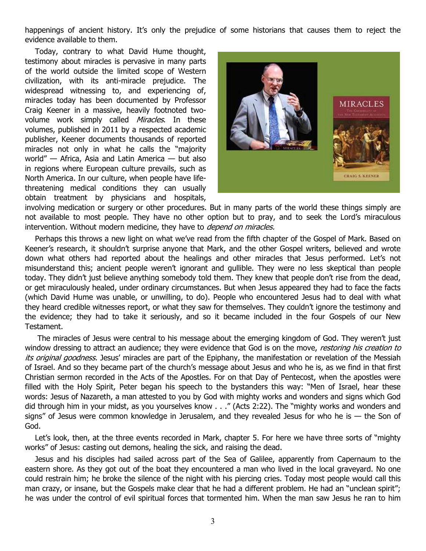happenings of ancient history. It's only the prejudice of some historians that causes them to reject the evidence available to them.

Today, contrary to what David Hume thought, testimony about miracles is pervasive in many parts of the world outside the limited scope of Western civilization, with its anti-miracle prejudice. The widespread witnessing to, and experiencing of, miracles today has been documented by Professor Craig Keener in a massive, heavily footnoted twovolume work simply called Miracles. In these volumes, published in 2011 by a respected academic publisher, Keener documents thousands of reported miracles not only in what he calls the "majority world" — Africa, Asia and Latin America — but also in regions where European culture prevails, such as North America. In our culture, when people have lifethreatening medical conditions they can usually obtain treatment by physicians and hospitals,



involving medication or surgery or other procedures. But in many parts of the world these things simply are not available to most people. They have no other option but to pray, and to seek the Lord's miraculous intervention. Without modern medicine, they have to *depend on miracles.* 

Perhaps this throws a new light on what we've read from the fifth chapter of the Gospel of Mark. Based on Keener's research, it shouldn't surprise anyone that Mark, and the other Gospel writers, believed and wrote down what others had reported about the healings and other miracles that Jesus performed. Let's not misunderstand this; ancient people weren't ignorant and gullible. They were no less skeptical than people today. They didn't just believe anything somebody told them. They knew that people don't rise from the dead, or get miraculously healed, under ordinary circumstances. But when Jesus appeared they had to face the facts (which David Hume was unable, or unwilling, to do). People who encountered Jesus had to deal with what they heard credible witnesses report, or what they saw for themselves. They couldn't ignore the testimony and the evidence; they had to take it seriously, and so it became included in the four Gospels of our New Testament.

 The miracles of Jesus were central to his message about the emerging kingdom of God. They weren't just window dressing to attract an audience; they were evidence that God is on the move, restoring his creation to its original goodness. Jesus' miracles are part of the Epiphany, the manifestation or revelation of the Messiah of Israel. And so they became part of the church's message about Jesus and who he is, as we find in that first Christian sermon recorded in the Acts of the Apostles. For on that Day of Pentecost, when the apostles were filled with the Holy Spirit, Peter began his speech to the bystanders this way: "Men of Israel, hear these words: Jesus of Nazareth, a man attested to you by God with mighty works and wonders and signs which God did through him in your midst, as you yourselves know . . ." (Acts 2:22). The "mighty works and wonders and signs" of Jesus were common knowledge in Jerusalem, and they revealed Jesus for who he is  $-$  the Son of God.

Let's look, then, at the three events recorded in Mark, chapter 5. For here we have three sorts of "mighty works" of Jesus: casting out demons, healing the sick, and raising the dead.

Jesus and his disciples had sailed across part of the Sea of Galilee, apparently from Capernaum to the eastern shore. As they got out of the boat they encountered a man who lived in the local graveyard. No one could restrain him; he broke the silence of the night with his piercing cries. Today most people would call this man crazy, or insane, but the Gospels make clear that he had a different problem. He had an "unclean spirit"; he was under the control of evil spiritual forces that tormented him. When the man saw Jesus he ran to him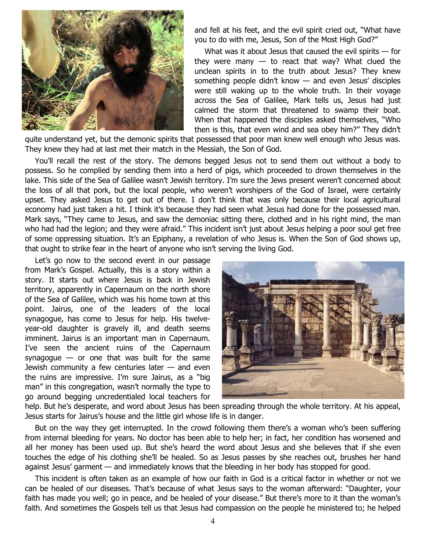

and fell at his feet, and the evil spirit cried out, "What have you to do with me, Jesus, Son of the Most High God?"

What was it about Jesus that caused the evil spirits  $-$  for they were many  $-$  to react that way? What clued the unclean spirits in to the truth about Jesus? They knew something people didn't know — and even Jesus' disciples were still waking up to the whole truth. In their voyage across the Sea of Galilee, Mark tells us, Jesus had just calmed the storm that threatened to swamp their boat. When that happened the disciples asked themselves, "Who then is this, that even wind and sea obey him?" They didn't

quite understand yet, but the demonic spirits that possessed that poor man knew well enough who Jesus was. They knew they had at last met their match in the Messiah, the Son of God.

You'll recall the rest of the story. The demons begged Jesus not to send them out without a body to possess. So he complied by sending them into a herd of pigs, which proceeded to drown themselves in the lake. This side of the Sea of Galilee wasn't Jewish territory. I'm sure the Jews present weren't concerned about the loss of all that pork, but the local people, who weren't worshipers of the God of Israel, were certainly upset. They asked Jesus to get out of there. I don't think that was only because their local agricultural economy had just taken a hit. I think it's because they had seen what Jesus had done for the possessed man. Mark says, "They came to Jesus, and saw the demoniac sitting there, clothed and in his right mind, the man who had had the legion; and they were afraid." This incident isn't just about Jesus helping a poor soul get free of some oppressing situation. It's an Epiphany, a revelation of who Jesus is. When the Son of God shows up, that ought to strike fear in the heart of anyone who isn't serving the living God.

Let's go now to the second event in our passage from Mark's Gospel. Actually, this is a story within a story. It starts out where Jesus is back in Jewish territory, apparently in Capernaum on the north shore of the Sea of Galilee, which was his home town at this point. Jairus, one of the leaders of the local synagogue, has come to Jesus for help. His twelveyear-old daughter is gravely ill, and death seems imminent. Jairus is an important man in Capernaum. I've seen the ancient ruins of the Capernaum synagogue  $-$  or one that was built for the same Jewish community a few centuries later — and even the ruins are impressive. I'm sure Jairus, as a "big man" in this congregation, wasn't normally the type to go around begging uncredentialed local teachers for



help. But he's desperate, and word about Jesus has been spreading through the whole territory. At his appeal, Jesus starts for Jairus's house and the little girl whose life is in danger.

But on the way they get interrupted. In the crowd following them there's a woman who's been suffering from internal bleeding for years. No doctor has been able to help her; in fact, her condition has worsened and all her money has been used up. But she's heard the word about Jesus and she believes that if she even touches the edge of his clothing she'll be healed. So as Jesus passes by she reaches out, brushes her hand against Jesus' garment — and immediately knows that the bleeding in her body has stopped for good.

This incident is often taken as an example of how our faith in God is a critical factor in whether or not we can be healed of our diseases. That's because of what Jesus says to the woman afterward: "Daughter, your faith has made you well; go in peace, and be healed of your disease." But there's more to it than the woman's faith. And sometimes the Gospels tell us that Jesus had compassion on the people he ministered to; he helped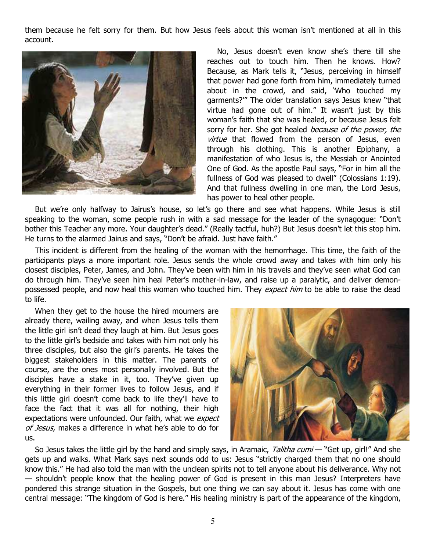them because he felt sorry for them. But how Jesus feels about this woman isn't mentioned at all in this account.



No, Jesus doesn't even know she's there till she reaches out to touch him. Then he knows. How? Because, as Mark tells it, "Jesus, perceiving in himself that power had gone forth from him, immediately turned about in the crowd, and said, 'Who touched my garments?'" The older translation says Jesus knew "that virtue had gone out of him." It wasn't just by this woman's faith that she was healed, or because Jesus felt sorry for her. She got healed *because of the power, the* virtue that flowed from the person of Jesus, even through his clothing. This is another Epiphany, a manifestation of who Jesus is, the Messiah or Anointed One of God. As the apostle Paul says, "For in him all the fullness of God was pleased to dwell" (Colossians 1:19). And that fullness dwelling in one man, the Lord Jesus, has power to heal other people.

But we're only halfway to Jairus's house, so let's go there and see what happens. While Jesus is still speaking to the woman, some people rush in with a sad message for the leader of the synagogue: "Don't bother this Teacher any more. Your daughter's dead." (Really tactful, huh?) But Jesus doesn't let this stop him. He turns to the alarmed Jairus and says, "Don't be afraid. Just have faith."

This incident is different from the healing of the woman with the hemorrhage. This time, the faith of the participants plays a more important role. Jesus sends the whole crowd away and takes with him only his closest disciples, Peter, James, and John. They've been with him in his travels and they've seen what God can do through him. They've seen him heal Peter's mother-in-law, and raise up a paralytic, and deliver demonpossessed people, and now heal this woman who touched him. They expect him to be able to raise the dead to life.

When they get to the house the hired mourners are already there, wailing away, and when Jesus tells them the little girl isn't dead they laugh at him. But Jesus goes to the little girl's bedside and takes with him not only his three disciples, but also the girl's parents. He takes the biggest stakeholders in this matter. The parents of course, are the ones most personally involved. But the disciples have a stake in it, too. They've given up everything in their former lives to follow Jesus, and if this little girl doesn't come back to life they'll have to face the fact that it was all for nothing, their high expectations were unfounded. Our faith, what we expect of Jesus, makes a difference in what he's able to do for us.



So Jesus takes the little girl by the hand and simply says, in Aramaic, Talitha cumi — "Get up, girl!" And she gets up and walks. What Mark says next sounds odd to us: Jesus "strictly charged them that no one should know this." He had also told the man with the unclean spirits not to tell anyone about his deliverance. Why not — shouldn't people know that the healing power of God is present in this man Jesus? Interpreters have pondered this strange situation in the Gospels, but one thing we can say about it. Jesus has come with one central message: "The kingdom of God is here." His healing ministry is part of the appearance of the kingdom,